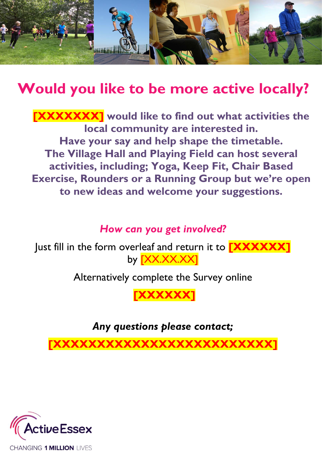

## **Would you like to be more active locally?**

**[XXXXXXX] would like to find out what activities the local community are interested in. Have your say and help shape the timetable. The Village Hall and Playing Field can host several activities, including; Yoga, Keep Fit, Chair Based Exercise, Rounders or a Running Group but we're open to new ideas and welcome your suggestions.**

## *How can you get involved?*

Just fill in the form overleaf and return it to **[XXXXXX]** by **[XX.XX.XX]** 

Alternatively complete the Survey online

**[XXXXXX]**

*Any questions please contact;* 

**[XXXXXXXXXXXXXXXXXXXXXXXXX]**